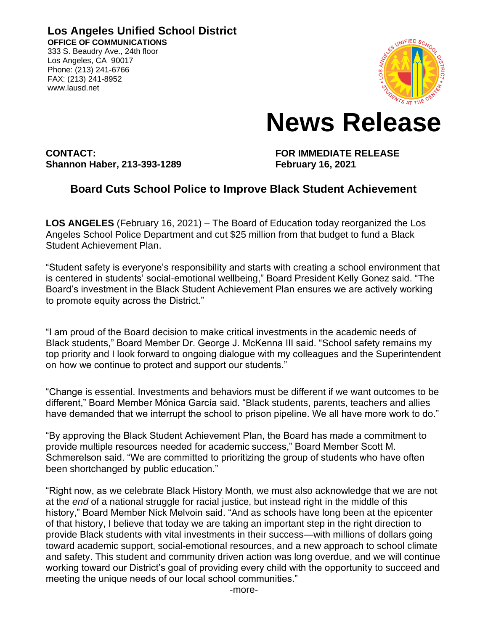**Los Angeles Unified School District OFFICE OF COMMUNICATIONS** 333 S. Beaudry Ave., 24th floor

Los Angeles, CA 90017 Phone: (213) 241-6766 FAX: (213) 241-8952 www.lausd.net



## **News Release**

**CONTACT: FOR IMMEDIATE RELEASE Shannon Haber, 213-393-1289 February 16, 2021**

## **Board Cuts School Police to Improve Black Student Achievement**

**LOS ANGELES** (February 16, 2021) – The Board of Education today reorganized the Los Angeles School Police Department and cut \$25 million from that budget to fund a Black Student Achievement Plan.

"Student safety is everyone's responsibility and starts with creating a school environment that is centered in students' social-emotional wellbeing," Board President Kelly Gonez said. "The Board's investment in the Black Student Achievement Plan ensures we are actively working to promote equity across the District."

"I am proud of the Board decision to make critical investments in the academic needs of Black students," Board Member Dr. George J. McKenna III said. "School safety remains my top priority and I look forward to ongoing dialogue with my colleagues and the Superintendent on how we continue to protect and support our students."

"Change is essential. Investments and behaviors must be different if we want outcomes to be different," Board Member Mónica García said. "Black students, parents, teachers and allies have demanded that we interrupt the school to prison pipeline. We all have more work to do."

"By approving the Black Student Achievement Plan, the Board has made a commitment to provide multiple resources needed for academic success," Board Member Scott M. Schmerelson said. "We are committed to prioritizing the group of students who have often been shortchanged by public education."

"Right now, as we celebrate Black History Month, we must also acknowledge that we are not at the *end* of a national struggle for racial justice, but instead right in the middle of this history," Board Member Nick Melvoin said. "And as schools have long been at the epicenter of that history, I believe that today we are taking an important step in the right direction to provide Black students with vital investments in their success—with millions of dollars going toward academic support, social-emotional resources, and a new approach to school climate and safety. This student and community driven action was long overdue, and we will continue working toward our District's goal of providing every child with the opportunity to succeed and meeting the unique needs of our local school communities."